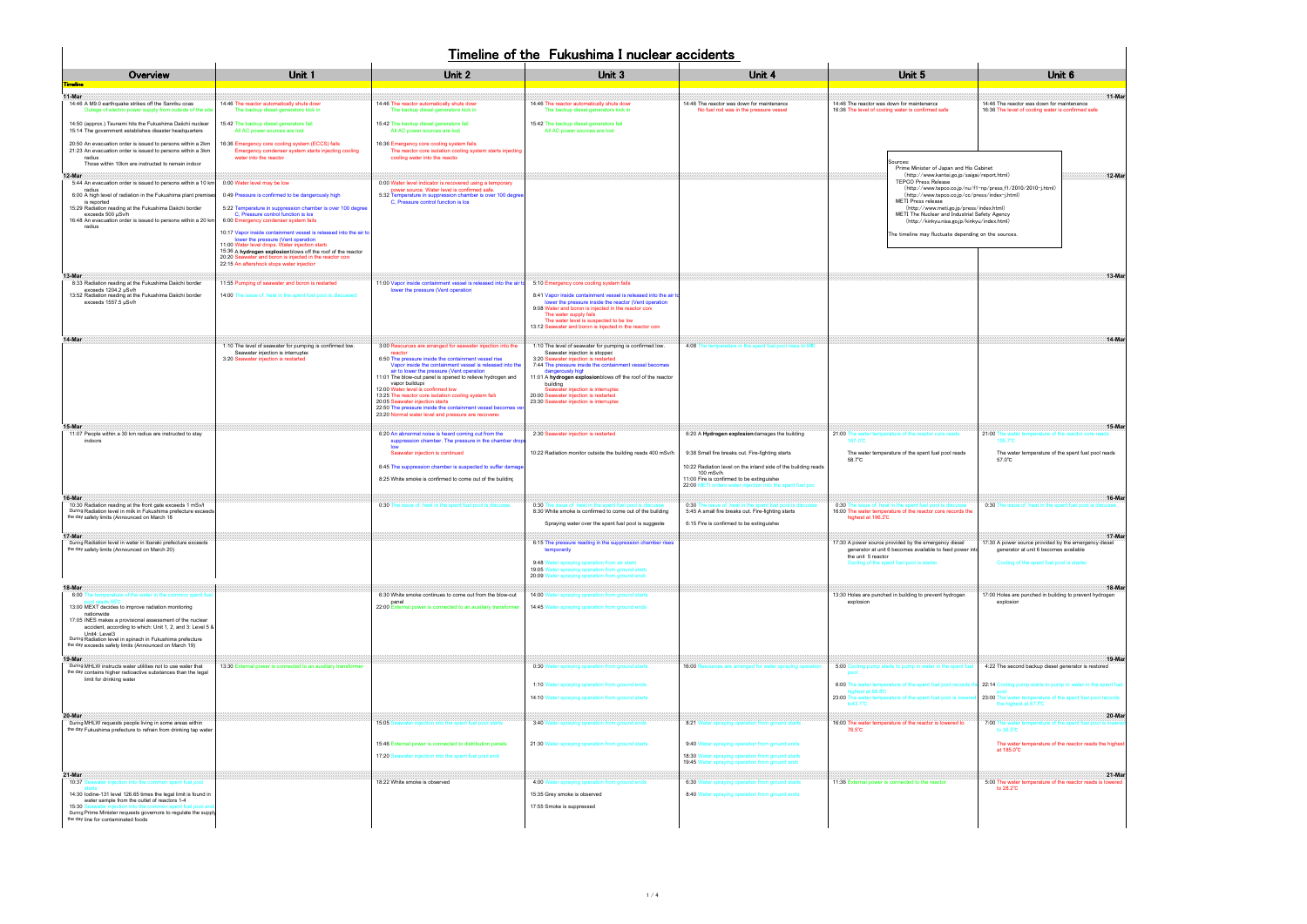|                                                                                                                                                                                               | Unit <sub>6</sub>                                      |
|-----------------------------------------------------------------------------------------------------------------------------------------------------------------------------------------------|--------------------------------------------------------|
| 14:46 The reactor was down for maintenance<br>16:36 The level of cooling water is confirmed safe                                                                                              |                                                        |
| pinet<br>report.html)<br>np/press_f1/2010/2010-j.html)<br>ss/index-j.html)<br>(ldex.html<br>fety Agency<br>(index.html)<br>on the sources.                                                    | 12-Mar                                                 |
|                                                                                                                                                                                               | 13-Mar                                                 |
|                                                                                                                                                                                               | $14-Mar$                                               |
| 21:00 The<br>155.7<br>The water temperature of the spent fuel pool reads<br>57.0°C                                                                                                            | 15-Mai                                                 |
| 0:30                                                                                                                                                                                          | 16-Mar                                                 |
| 17:30 A power source provided by the emergency diesel<br>generator at unit 6 becomes available<br>Cooling of the spent fuel pool is started                                                   | 17-Mar                                                 |
| <u>18-Martin 18-Martin 18-Martin 18-Martin 18-Martin 18-Martin 18-Martin 18-Martin 18-Martin 18-Martin 18-Martin </u><br>17:00 Holes are punched in building to prevent hydrogen<br>explosion |                                                        |
| <u>19-Mar</u><br>4:22 The second backup diesel generator is restored<br>22:14 Cooling pump starts to pump in water in the spent fuel<br>pool                                                  |                                                        |
| 23:00 The water temperature of the spent fuel pool records<br>the highest at 67.5°C<br>20-Mar<br>7:00 The water temperature of the spent fuel pool is lowered<br>to 36.5°C                    | The water temperature of the reactor reads the highest |
| at 185.0°C<br><u>21-Mar</u><br>5:00 The water temperature of the reactor reads is lowered<br>to 28.2°C                                                                                        |                                                        |

| Overview<br>'imeline                                                                                                                                                                                                                                                                                                                                                                                   | Unit 1                                                                                                                                                                                                                                                                                             | Unit 2                                                                                                                                                                                                                                                                                                                                                                                                                                                                                                                                                                        | Unit 3                                                                                                                                                                                                                                                                                                                                                                                                               | Unit 4                                                                                                                                                                                                                                     | Unit 5                                                                                                                                                                                                                                                                                                                                                                                                                    | Unit 6                                                                                                                                               |
|--------------------------------------------------------------------------------------------------------------------------------------------------------------------------------------------------------------------------------------------------------------------------------------------------------------------------------------------------------------------------------------------------------|----------------------------------------------------------------------------------------------------------------------------------------------------------------------------------------------------------------------------------------------------------------------------------------------------|-------------------------------------------------------------------------------------------------------------------------------------------------------------------------------------------------------------------------------------------------------------------------------------------------------------------------------------------------------------------------------------------------------------------------------------------------------------------------------------------------------------------------------------------------------------------------------|----------------------------------------------------------------------------------------------------------------------------------------------------------------------------------------------------------------------------------------------------------------------------------------------------------------------------------------------------------------------------------------------------------------------|--------------------------------------------------------------------------------------------------------------------------------------------------------------------------------------------------------------------------------------------|---------------------------------------------------------------------------------------------------------------------------------------------------------------------------------------------------------------------------------------------------------------------------------------------------------------------------------------------------------------------------------------------------------------------------|------------------------------------------------------------------------------------------------------------------------------------------------------|
| 11-Mar<br>14:46 A M9.0 earthquake strikes off the Sanriku coas<br>Outage of electric power supply from outside of the site                                                                                                                                                                                                                                                                             | 14:46 The reactor automatically shuts down<br>The backup diesel generators kick in                                                                                                                                                                                                                 | 14:46 The reactor automatically shuts down<br>The backup diesel generators kick in                                                                                                                                                                                                                                                                                                                                                                                                                                                                                            | 14:46 The reactor automatically shuts down<br>The backup diesel generators kick in                                                                                                                                                                                                                                                                                                                                   | 14:46 The reactor was down for maintenance<br>No fuel rod was in the pressure vessel                                                                                                                                                       | 14:46 The reactor was down for maintenance<br>16:36 The level of cooling water is confirmed safe                                                                                                                                                                                                                                                                                                                          | $11-Ma$<br>14:46 The reactor was down for maintenance<br>16:36 The level of cooling water is confirmed safe                                          |
| 14:50 (approx.) Tsunami hits the Fukushima Daiichi nuclear<br>15:14 The government establishes disaster headquarters                                                                                                                                                                                                                                                                                   | 15:42 The backup diesel generators fail<br>All AC power sources are lost                                                                                                                                                                                                                           | 15:42 The backup diesel generators fail<br>All AC power sources are lost                                                                                                                                                                                                                                                                                                                                                                                                                                                                                                      | 15:42 The backup diesel generators fail<br>All AC power sources are lost                                                                                                                                                                                                                                                                                                                                             |                                                                                                                                                                                                                                            |                                                                                                                                                                                                                                                                                                                                                                                                                           |                                                                                                                                                      |
| 20:50 An evacuation order is issued to persons within a 2km<br>21:23 An evacuation order is issued to persons within a 3km<br>radius<br>Those within 10km are instructed to remain indoor                                                                                                                                                                                                              | 16:36 Emergency core cooling system (ECCS) fails<br>Emergency condenser system starts injecting cooling<br>water into the reactor                                                                                                                                                                  | 16:36 Emergency core cooling system fails<br>The reactor core isolation cooling system starts injecting<br>cooling water into the reactor                                                                                                                                                                                                                                                                                                                                                                                                                                     |                                                                                                                                                                                                                                                                                                                                                                                                                      |                                                                                                                                                                                                                                            | Sources:                                                                                                                                                                                                                                                                                                                                                                                                                  |                                                                                                                                                      |
| 12-Mar<br>5:44 An evacuation order is issued to persons within a 10 km<br>radius<br>6:00 A high level of radiation in the Fukushima plant premise<br>is reported<br>15:29 Radiation reading at the Fukushima Daiichi border<br>exceeds 500 µSv/h<br>16:48 An evacuation order is issued to persons within a 20 km<br>radius                                                                            | 0:00 Water level may be low<br>0:49 Pressure is confirmed to be dangerously high<br>5:22 Temperature in suppression chamber is over 100 degree<br>C. Pressure control function is los<br>6:00 Emergency condenser system fails<br>10:17 Vapor inside containment vessel is released into the air t | 0:00 Water level indicator is recovered using a temporary<br>power source. Water level is confirmed safe.<br>5:32 Temperature in suppression chamber is over 100 degree<br>C, Pressure control function is los                                                                                                                                                                                                                                                                                                                                                                |                                                                                                                                                                                                                                                                                                                                                                                                                      |                                                                                                                                                                                                                                            | Prime Minister of Japan and His Cabinet<br>(http://www.kantei.go.jp/saigai/report.html)<br>12-Ma<br><b>TEPCO Press Release</b><br>(http://www.tepco.co.jp/nu/f1-np/press_f1/2010/2010-j.html)<br>(http://www.tepco.co.jp/cc/press/index-j.html)<br><b>METI Press release</b><br>(http://www.meti.go.jp/press/index.html)<br>METI The Nuclear and Industrial Safety Agency<br>(http://kinkyu.nisa.go.jp/kinkyu/index.html) |                                                                                                                                                      |
|                                                                                                                                                                                                                                                                                                                                                                                                        | lower the pressure (Vent operation<br>11:00 Water level drops. Water injection starts<br>15:36 A hydrogen explosion blows off the roof of the reactor<br>20:20 Seawater and boron is injected in the reactor core<br>22:15 An aftershock stops water injection                                     |                                                                                                                                                                                                                                                                                                                                                                                                                                                                                                                                                                               |                                                                                                                                                                                                                                                                                                                                                                                                                      |                                                                                                                                                                                                                                            | The timeline may fluctuate depending on the sources.                                                                                                                                                                                                                                                                                                                                                                      |                                                                                                                                                      |
| 13-Mar<br>8:33 Radiation reading at the Fukushima Daiichi border<br>exceeds 1204.2 uSv/h<br>13:52 Radiation reading at the Fukushima Daiichi border<br>exceeds 1557.5 µSv/h                                                                                                                                                                                                                            | 11:55 Pumping of seawater and boron is restarted<br>14:00 The issue of heat in the spent fuel pool is discussed                                                                                                                                                                                    | 11:00 Vapor inside containment vessel is released into the air<br>lower the pressure (Vent operation                                                                                                                                                                                                                                                                                                                                                                                                                                                                          | 5:10 Emergency core cooling system fails<br>8:41 Vapor inside containment vessel is released into the air to<br>lower the pressure inside the reactor (Vent operation<br>9:08 Water and boron is injected in the reactor core<br>The water supply fails<br>The water level is suspected to be lov<br>13:12 Seawater and boron is injected in the reactor core                                                        |                                                                                                                                                                                                                                            |                                                                                                                                                                                                                                                                                                                                                                                                                           | $13-Ma$                                                                                                                                              |
| 14-Mar                                                                                                                                                                                                                                                                                                                                                                                                 | 1:10 The level of seawater for pumping is confirmed low.<br>Seawater injection is interrupted<br>3:20 Seawater injection is restarted                                                                                                                                                              | 3:00 Resources are arranged for seawater injection into the<br>reactor<br>6:50 The pressure inside the containment vessel rise<br>Vapor inside the containment vessel is released into the<br>air to lower the pressure (Vent operation<br>11:01 The blow-out panel is opened to relieve hydrogen and<br>vapor buildups<br>12:00 Water level is confirmed low<br>13:25 The reactor core isolation cooling system fail<br>20:05 Seawater injection starts<br>22:50 The pressure inside the containment vessel becomes v<br>23:20 Normal water level and pressure are recovered | 1:10 The level of seawater for pumping is confirmed low.<br>Seawater injection is stopped<br>3:20 Seawater injection is restarted<br>7:44 The pressure inside the containment vessel becomes<br>dangerously high<br>11:01 A hydrogen explosionblows off the roof of the reactor<br>building<br>Seawater injection is interrupted<br>20:00 Seawater injection is restarted<br>23:30 Seawater injection is interrupted | 4:08 The temperature in the spent fuel pool rises to 84C                                                                                                                                                                                   |                                                                                                                                                                                                                                                                                                                                                                                                                           | $14-Ma$                                                                                                                                              |
| 15-Mar<br>11:07 People within a 30 km radius are instructed to stay<br>indoors                                                                                                                                                                                                                                                                                                                         |                                                                                                                                                                                                                                                                                                    | 6:20 An abnormal noise is heard coming out from the<br>suppression chamber. The pressure in the chamber drop<br>low                                                                                                                                                                                                                                                                                                                                                                                                                                                           | 2:30 Seawater injection is restarted                                                                                                                                                                                                                                                                                                                                                                                 | 6:20 A Hydrogen explosiondamages the building                                                                                                                                                                                              | 21:00 The water temperature of the reactor core reads<br>167.0°C                                                                                                                                                                                                                                                                                                                                                          | 15-Mar<br>21:00 The water temperature of the reactor core reads<br>155.7°C                                                                           |
|                                                                                                                                                                                                                                                                                                                                                                                                        |                                                                                                                                                                                                                                                                                                    | Seawater injection is continued<br>6:45 The suppression chamber is suspected to suffer damage<br>8:25 White smoke is confirmed to come out of the building                                                                                                                                                                                                                                                                                                                                                                                                                    | 10:22 Radiation monitor outside the building reads 400 mSv/h                                                                                                                                                                                                                                                                                                                                                         | 9:38 Small fire breaks out. Fire-fighting starts<br>10:22 Radiation level on the inland side of the building reads<br>100 mSv/h<br>11:00 Fire is confirmed to be extinguished<br>22:00 METI orders water injection into the spent fuel poc | The water temperature of the spent fuel pool reads<br>58.7°C                                                                                                                                                                                                                                                                                                                                                              | The water temperature of the spent fuel pool reads<br>57.0°C                                                                                         |
| 16-Mar<br>10:30 Radiation reading at the front gate exceeds 1 mSv/l<br>During Radiation level in milk in Fukushima prefecture exceeds<br>the day safety limits (Announced on March 18                                                                                                                                                                                                                  |                                                                                                                                                                                                                                                                                                    | 0:30 The issue of heat in the spent fuel pool is discusse                                                                                                                                                                                                                                                                                                                                                                                                                                                                                                                     | 0:30 The issue of heat in the spent fuel pool is d<br>8:30 White smoke is confirmed to come out of the building<br>Spraying water over the spent fuel pool is suggeste                                                                                                                                                                                                                                               | 0:30<br>he issue of heat in the spent fuel pool is discuss<br>5:45 A small fire breaks out. Fire-fighting starts<br>6:15 Fire is confirmed to be extinguished                                                                              | he issue of heat in the spent fuel pool is discus<br>0:30<br>16:00 The water temperature of the reactor core records the<br>highest at 196.2°C                                                                                                                                                                                                                                                                            | 16-Ma<br>0:30 The issue of heat in the spent fuel pool is di                                                                                         |
| 17-Mar<br>During Radiation level in water in Ibaraki prefecture exceeds<br>the day safety limits (Announced on March 20)                                                                                                                                                                                                                                                                               |                                                                                                                                                                                                                                                                                                    |                                                                                                                                                                                                                                                                                                                                                                                                                                                                                                                                                                               | 6:15 The pressure reading in the suppression chamber rises<br>temporarily<br>9:48 Water spraying operation from air starts<br>19:05 Water spraying operation from ground starts<br>20:09 Water spraying operation from ground ends                                                                                                                                                                                   |                                                                                                                                                                                                                                            | 17:30 A power source provided by the emergency diesel<br>generator at unit 6 becomes available to feed power into<br>the unit 5 reactor<br>Cooling of the spent fuel pool is started                                                                                                                                                                                                                                      | 17-Ma<br>17:30 A power source provided by the emergency diesel<br>generator at unit 6 becomes available<br>Cooling of the spent fuel pool is started |
| 18-Mar<br>6:00 The temperature of the water in the common spent fu<br>13:00 MEXT decides to improve radiation monitoring<br>nationwide<br>17:05 INES makes a provisional assessment of the nuclear<br>accident, according to which: Unit 1, 2, and 3: Level 5 &<br>Unit4: Level3<br>During Radiation level in spinach in Fukushima prefecture<br>the day exceeds safety limits (Announced on March 19) |                                                                                                                                                                                                                                                                                                    | 6:30 White smoke continues to come out from the blow-out<br>panel<br>22:00 External power is connected to an auxiliary transformer                                                                                                                                                                                                                                                                                                                                                                                                                                            | 14:00 Water spraying operation from ground starts<br>14:45 Water spraying operation from ground ends                                                                                                                                                                                                                                                                                                                 |                                                                                                                                                                                                                                            | 13:30 Holes are punched in building to prevent hydrogen<br>explosion                                                                                                                                                                                                                                                                                                                                                      | 18-Ma<br>17:00 Holes are punched in building to prevent hydrogen<br>explosion                                                                        |
| 19-Mar<br>During MHLW instructs water utilities not to use water that<br>the day contains higher radioactive substances than the legal<br>limit for drinking water                                                                                                                                                                                                                                     | 13:30 External power is connected to an auxiliary transformer                                                                                                                                                                                                                                      |                                                                                                                                                                                                                                                                                                                                                                                                                                                                                                                                                                               | 0:30 Water spraying operation from ground starts<br>1:10 Water spraying operation from ground ends                                                                                                                                                                                                                                                                                                                   | 16:00 R<br>sources are arranged for water spraying operatio                                                                                                                                                                                | 5:00 Cooling pump starts to pump in water in the spent fu<br>pool<br>6:00 The water temperature of the spent fuel pool records                                                                                                                                                                                                                                                                                            | 19-Ma<br>4:22 The second backup diesel generator is restored<br>22:14 Cooling pump starts to pump in water in the spent fuel                         |
|                                                                                                                                                                                                                                                                                                                                                                                                        |                                                                                                                                                                                                                                                                                                    |                                                                                                                                                                                                                                                                                                                                                                                                                                                                                                                                                                               | 14:10 Water spraying operation from ground starts                                                                                                                                                                                                                                                                                                                                                                    |                                                                                                                                                                                                                                            | highest at 68.8°C<br>23:00 The water temperature of the spent fuel pool is lowe<br>to $43.1^\circ$ C                                                                                                                                                                                                                                                                                                                      | 23:00 The water temperature of the spent fuel pool records<br>the highest at 67.5°C                                                                  |
| 20-Mar<br>During MHLW requests people living in some areas within                                                                                                                                                                                                                                                                                                                                      |                                                                                                                                                                                                                                                                                                    | 15:05 Seawater injection into the spent fuel pool starts                                                                                                                                                                                                                                                                                                                                                                                                                                                                                                                      | 3:40 Water spraying operation from ground ends                                                                                                                                                                                                                                                                                                                                                                       | 8:21 Water spraying operation from ground starts                                                                                                                                                                                           | 16:00 The water temperature of the reactor is lowered to                                                                                                                                                                                                                                                                                                                                                                  | 20-Ma<br>7:00 The water temperature of the spent fuel pool is lowered                                                                                |
| the day Fukushima prefecture to refrain from drinking tap water                                                                                                                                                                                                                                                                                                                                        |                                                                                                                                                                                                                                                                                                    | 15:46 External power is connected to distribution panels<br>17:20 Seawater injection into the spent fuel pool end:                                                                                                                                                                                                                                                                                                                                                                                                                                                            | 21:30 Water spraying operation from ground starts                                                                                                                                                                                                                                                                                                                                                                    | 9:40 Water spraying operation from ground ends<br>18:30 Water spraying operation from ground starts<br>19:45 Water spraying operation from ground ends                                                                                     | 76.5°C                                                                                                                                                                                                                                                                                                                                                                                                                    | to 36.5°C<br>The water temperature of the reactor reads the highest<br>at 185.0°C                                                                    |
| 21-Mar<br>10:37 Seawater injection into the common spent fuel pool<br>14:30 lodine-131 level 126.65 times the legal limit is found in<br>water sample from the outlet of reactors 1-4<br>15:30<br>During Prime Minister requests governors to regulate the supply                                                                                                                                      |                                                                                                                                                                                                                                                                                                    | 18:22 White smoke is observed                                                                                                                                                                                                                                                                                                                                                                                                                                                                                                                                                 | 4:00 Water spraying operation from ground ends<br>15:35 Grey smoke is observed<br>17:55 Smoke is suppressed                                                                                                                                                                                                                                                                                                          | 6:30 Water spraying operation from ground starts<br>8:40 Water spraying operation from ground ends                                                                                                                                         | 11:36 External power is connected to the reactor                                                                                                                                                                                                                                                                                                                                                                          | 21-Ma<br>5:00 The water temperature of the reactor reads is lowered<br>to 28.2°C                                                                     |
| the day line for contaminated foods                                                                                                                                                                                                                                                                                                                                                                    |                                                                                                                                                                                                                                                                                                    |                                                                                                                                                                                                                                                                                                                                                                                                                                                                                                                                                                               |                                                                                                                                                                                                                                                                                                                                                                                                                      |                                                                                                                                                                                                                                            |                                                                                                                                                                                                                                                                                                                                                                                                                           |                                                                                                                                                      |

## Timeline of the Fukushima I nuclear accidents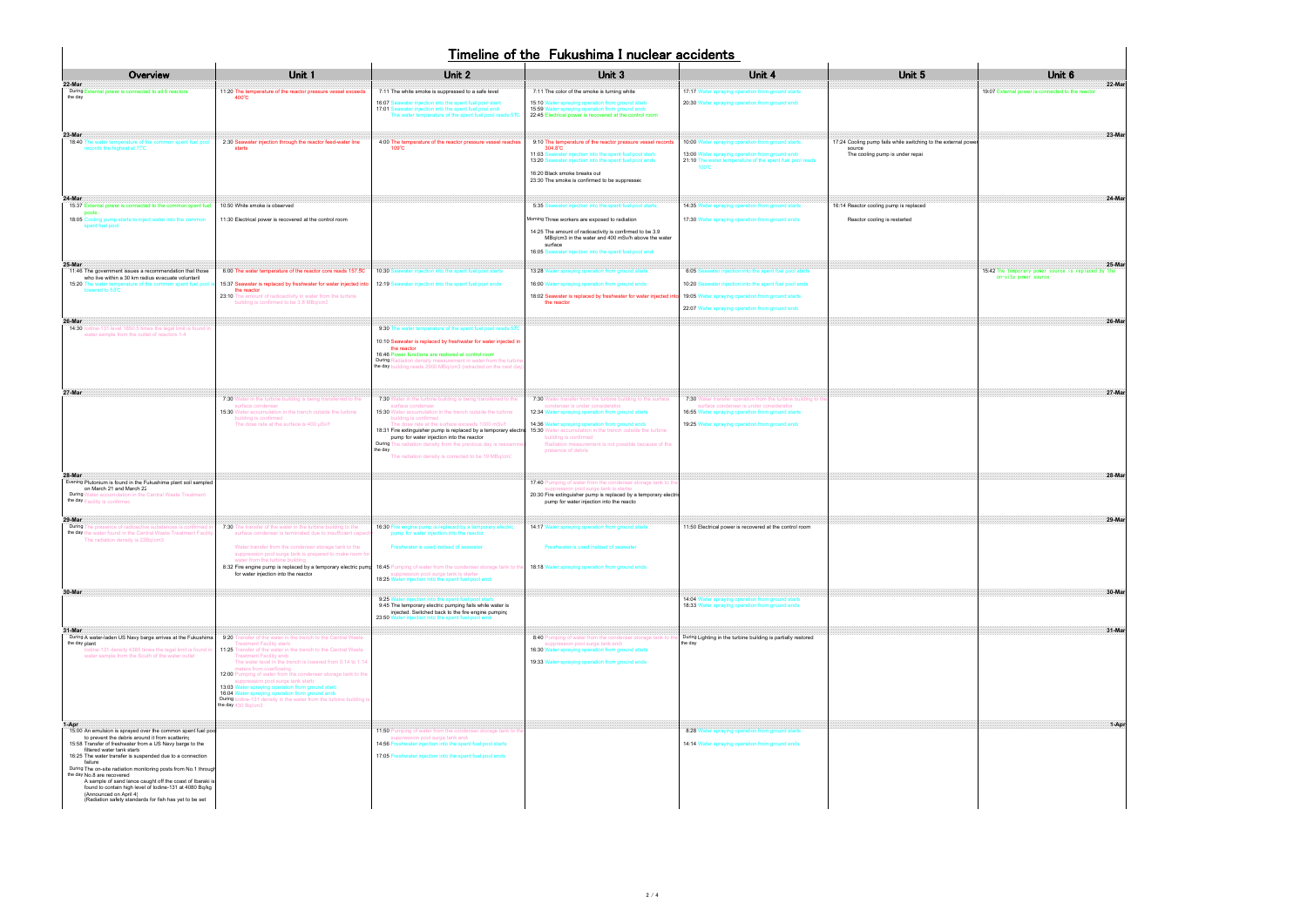## Timeline of the Fukushima I nuclear accidents

| Unit <sub>6</sub><br>:07<br>to the reacto<br>:xternal power                                                                |
|----------------------------------------------------------------------------------------------------------------------------|
| <u> 1999 - Andrea Maria Alemania al III-lea de Antonio de Antonio de Antonio de Antonio de Antonio de Antonio de</u><br>23 |
| <u> Manazarta (Manazarta Manazarta (</u><br>24                                                                             |
| <u>. 25-Mar</u><br>The temporary power<br>is<br>.42<br>sour<br>site<br>source                                              |
| 26                                                                                                                         |
| H                                                                                                                          |
| <u>28-Ma</u>                                                                                                               |
| 29<br><b>Mar</b>                                                                                                           |
| . 30-Mar                                                                                                                   |
|                                                                                                                            |
|                                                                                                                            |
| <u> 1-Apr</u>                                                                                                              |
|                                                                                                                            |
|                                                                                                                            |

|                                                                                                                                                                                                                                                                                                           |                                                                                                                                                                                                                                                                                                                                                                                           |                                                                                                                                                                                                                                                                                                                                                                                                                                          | THRESHIP OF LITE FUNDSHIFTS I HUGIES ACCIDENTS                                                                                                                                                                          |                                                                                                                                                                 |                                                                         |                                                                                      |
|-----------------------------------------------------------------------------------------------------------------------------------------------------------------------------------------------------------------------------------------------------------------------------------------------------------|-------------------------------------------------------------------------------------------------------------------------------------------------------------------------------------------------------------------------------------------------------------------------------------------------------------------------------------------------------------------------------------------|------------------------------------------------------------------------------------------------------------------------------------------------------------------------------------------------------------------------------------------------------------------------------------------------------------------------------------------------------------------------------------------------------------------------------------------|-------------------------------------------------------------------------------------------------------------------------------------------------------------------------------------------------------------------------|-----------------------------------------------------------------------------------------------------------------------------------------------------------------|-------------------------------------------------------------------------|--------------------------------------------------------------------------------------|
| Overview                                                                                                                                                                                                                                                                                                  | Unit 1                                                                                                                                                                                                                                                                                                                                                                                    | Unit 2                                                                                                                                                                                                                                                                                                                                                                                                                                   | Unit 3                                                                                                                                                                                                                  | Unit 4                                                                                                                                                          | Unit 5                                                                  | Unit 6                                                                               |
| 22-Mar<br>During External power is connected to all 6 reactors<br>the day                                                                                                                                                                                                                                 | 11:20 The temperature of the reactor pressure vessel exceeds<br>$400^{\circ}$ C                                                                                                                                                                                                                                                                                                           | 7:11 The white smoke is suppressed to a safe level                                                                                                                                                                                                                                                                                                                                                                                       | 7:11 The color of the smoke is turning white                                                                                                                                                                            | 17:17 Water spraying operation from ground starts                                                                                                               |                                                                         | 22-Ma<br>19:07 External power is connected to the reactor                            |
|                                                                                                                                                                                                                                                                                                           |                                                                                                                                                                                                                                                                                                                                                                                           | 16:07 Seawater injection into the spent fuel pool start<br>17:01 Seawater injection into the spent fuel pool end:<br>The water temperature of the spent fuel pool reads 51C                                                                                                                                                                                                                                                              | 15:10 Water spraying operation from ground starts<br>15:59 V<br>ater spraying operation from groun<br>22:45 Electrical power is recovered at the control room                                                           | 20:30 Water spraying operation from ground ends                                                                                                                 |                                                                         |                                                                                      |
| 23-Mar<br>18:40<br>The water temperature of the common spent fuel pool<br>records the highest at 7?C                                                                                                                                                                                                      | 2:30 Seawater injection through the reactor feed-water line<br>starts                                                                                                                                                                                                                                                                                                                     | 4:00 The temperature of the reactor pressure vessel reaches<br>$109^{\circ}$ C                                                                                                                                                                                                                                                                                                                                                           | 9:10 The temperature of the reactor pressure vessel records<br>$304.8^{\circ}$ C                                                                                                                                        | 10:00 Water spraying operation from ground starts                                                                                                               | 17:24 Cooling pump fails while switching to the external powe<br>source | 23-Ma                                                                                |
|                                                                                                                                                                                                                                                                                                           |                                                                                                                                                                                                                                                                                                                                                                                           |                                                                                                                                                                                                                                                                                                                                                                                                                                          | 11:03 Se<br>eawater injection into the spent fuel pool start<br>13:20 \$<br>eawater injection into the spent fuel pool ends                                                                                             | 13:00 Water spraying operation from ground ends<br>21:10 The water temperature of the spent fuel pool reads<br>100°C                                            | The cooling pump is under repai                                         |                                                                                      |
|                                                                                                                                                                                                                                                                                                           |                                                                                                                                                                                                                                                                                                                                                                                           |                                                                                                                                                                                                                                                                                                                                                                                                                                          | 16:20 Black smoke breaks out<br>23:30 The smoke is confirmed to be suppressed                                                                                                                                           |                                                                                                                                                                 |                                                                         |                                                                                      |
| 24-Mar<br>15:37 External power is connected to the common spent fuel                                                                                                                                                                                                                                      | 10:50 White smoke is observed                                                                                                                                                                                                                                                                                                                                                             |                                                                                                                                                                                                                                                                                                                                                                                                                                          | eawater injection into the spent fuel pool starts<br>5:35S                                                                                                                                                              | 14:35 Water spraying operation from ground starts                                                                                                               | 16:14 Reactor cooling pump is replaced                                  | 24-Ma                                                                                |
| pools<br>18:05 Cooling pump starts to inject water into the common<br>spent fuel pool                                                                                                                                                                                                                     | 11:30 Electrical power is recovered at the control room                                                                                                                                                                                                                                                                                                                                   |                                                                                                                                                                                                                                                                                                                                                                                                                                          | Morning Three workers are exposed to radiation                                                                                                                                                                          | 17:30 Water spraying operation from ground ends                                                                                                                 | Reactor cooling is restarted                                            |                                                                                      |
|                                                                                                                                                                                                                                                                                                           |                                                                                                                                                                                                                                                                                                                                                                                           |                                                                                                                                                                                                                                                                                                                                                                                                                                          | 14:25 The amount of radioactivity is confirmed to be 3.9<br>MBq/cm3 in the water and 400 mSv/h above the water<br>surface<br>16:05 Se<br>water injection into the spent fuel pool end:                                  |                                                                                                                                                                 |                                                                         |                                                                                      |
| 25-Mar<br>11:46 The government issues a recommendation that those                                                                                                                                                                                                                                         | 6:00 The water temperature of the reactor core reads 157.5C                                                                                                                                                                                                                                                                                                                               | 10:30 $S$<br>eawater injection into the spent fuel pool starts                                                                                                                                                                                                                                                                                                                                                                           | 13:28 Water spraying operation from ground starts                                                                                                                                                                       | $6:05$ S<br>ater injection into the spent fuel pool starts                                                                                                      |                                                                         | 25-Ma<br>15:42 The temporary power source is replaced by the<br>on-site power source |
| who live within a 30 km radius evacuate voluntaril<br>15:20 The water temperature of the cor<br>lowered to 53°C                                                                                                                                                                                           | 15:37 Seawater is replaced by freshwater for water injected into<br>the reactor                                                                                                                                                                                                                                                                                                           | 12:19 Seawater injection into the spent fuel pool ends                                                                                                                                                                                                                                                                                                                                                                                   | 16:00 Water spraying operation from ground ends                                                                                                                                                                         | 10:20 Seawater injection into the spent fuel pool ends                                                                                                          |                                                                         |                                                                                      |
|                                                                                                                                                                                                                                                                                                           | 23:10 The amount of radioactivity in water from the turbine<br>building is confirmed to be 3.8 MBq/cm3                                                                                                                                                                                                                                                                                    |                                                                                                                                                                                                                                                                                                                                                                                                                                          | 18:02 Seawater is replaced by freshwater for water injected int<br>the reactor                                                                                                                                          | 19:05 Water spraying operation from ground starts<br>22:07 Water spraying operation from ground ends                                                            |                                                                         |                                                                                      |
| 26-Mar<br>14:30 lodine-131 level 1850.5 times the legal limit is found in                                                                                                                                                                                                                                 |                                                                                                                                                                                                                                                                                                                                                                                           | 9:30 The water temperature of the spent fuel pool reads 57C                                                                                                                                                                                                                                                                                                                                                                              |                                                                                                                                                                                                                         |                                                                                                                                                                 |                                                                         | 26-Mai                                                                               |
| water sample from the outlet of reactors 1-4                                                                                                                                                                                                                                                              |                                                                                                                                                                                                                                                                                                                                                                                           | 10:10 Seawater is replaced by freshwater for water injected in<br>the reactor<br>16:46 Power functions are restored at control room<br>During Radiation density measurement in water from the turbine<br>the day building reads 2900 MBq/cm3 (retracted on the next day)                                                                                                                                                                 |                                                                                                                                                                                                                         |                                                                                                                                                                 |                                                                         |                                                                                      |
| 27-Mar                                                                                                                                                                                                                                                                                                    | 7:30 Water in the turbine building is being transferred to the<br>surface condenser<br>15:30 Water accumulation in the trench outside the turbine                                                                                                                                                                                                                                         | 7:30 Water in the turbine building is being transferred to the<br>surface condenser<br>15:30 Water accumulation in the trench outside the turbine                                                                                                                                                                                                                                                                                        | 7:30 Water transfer from the turbine building to the surface<br>condenser is under consideration<br>12:34 Water spraying operation from ground starts                                                                   | 7:30 Water transfer operation from the turbine building to the<br>surface condenser is under consideration<br>16:55 Water spraying operation from ground starts |                                                                         | 27-Ma                                                                                |
|                                                                                                                                                                                                                                                                                                           | building is confirmed<br>The dose rate at the surface is 400 µSv/t                                                                                                                                                                                                                                                                                                                        | building is confirmed<br>The dose rate at the surface exceeds 1000 mSv/l 14:36 Water spraying operation from ground ends<br>18:31 Fire extinguisher pump is replaced by a temporary electric 15:30 Water accumulation in the trench outside the turbine<br>pump for water injection into the reactor<br>During The radiation density from the previous day is reexamin<br>the day<br>The radiation density is corrected to be 19 MBq/cm. | building is confirmed<br>Radiation measurement is not possible because of the<br>presence of debris                                                                                                                     | 19:25 Water spraying operation from ground ends                                                                                                                 |                                                                         |                                                                                      |
| 28-Mar<br>Evening Plutonium is found in the Fukushima plant soil sampled<br>on March 21 and March 22<br>During Water accumulation in the Central Waste Treatment<br>the day Facility is confirmed                                                                                                         |                                                                                                                                                                                                                                                                                                                                                                                           |                                                                                                                                                                                                                                                                                                                                                                                                                                          | 17:40 Pumping of water from the condenser storage tank to th<br>suppression pool surge tank is started<br>20:30 Fire extinguisher pump is replaced by a temporary electric<br>pump for water injection into the reactor |                                                                                                                                                                 |                                                                         | 28-Ma                                                                                |
| 29-Mar<br>During The presence of radioactive substances is confirmed i<br>the day the water found in the Central Waste Treatment Facility                                                                                                                                                                 | 7:30 The transfer of the water in the turbine building to the<br>surface condenser is terminated due to insufficient capacit                                                                                                                                                                                                                                                              | 16:30 Fire engine pump is replaced by a temporary electric<br>pump for water injection into the reactor                                                                                                                                                                                                                                                                                                                                  | 14:17 Water spraying operation from ground starts                                                                                                                                                                       | 11:50 Electrical power is recovered at the control room                                                                                                         |                                                                         | 29-Ma                                                                                |
| The radiation density is 22Bq/cm3                                                                                                                                                                                                                                                                         | Water transfer from the condenser storage tank to the<br>suppression pool surge tank is prepared to make room fo<br>water from the turbine building                                                                                                                                                                                                                                       | <b>Ereshwater is used instead of seawater</b>                                                                                                                                                                                                                                                                                                                                                                                            | Freshwater is used instead of seawater                                                                                                                                                                                  |                                                                                                                                                                 |                                                                         |                                                                                      |
|                                                                                                                                                                                                                                                                                                           | for water injection into the reactor                                                                                                                                                                                                                                                                                                                                                      | 8:32 Fire engine pump is replaced by a temporary electric pump 16:45 Pumping of water from the condenser storage tank to the 18:18 Water spraying operation from ground ends<br>suppression pool surge tank is started<br>18:25 Water injection into the spent fuel pool ends                                                                                                                                                            |                                                                                                                                                                                                                         |                                                                                                                                                                 |                                                                         |                                                                                      |
| 30-Mar                                                                                                                                                                                                                                                                                                    |                                                                                                                                                                                                                                                                                                                                                                                           | Vater injection into the spent fuel pool start:<br>9:25<br>9:45 The temporary electric pumping fails while water is<br>injected. Switched back to the fire engine pumping<br>23:50 Water injection into the spent fuel pool ends                                                                                                                                                                                                         |                                                                                                                                                                                                                         | 14:04 Water spraying operation from ground starts<br>18:33 Water spraying operation from ground ends                                                            |                                                                         | 30-Ma                                                                                |
| 31-Mar<br>During A water-laden US Navy barge arrives at the Fukushima                                                                                                                                                                                                                                     | 9:20 Transfer of the water in the trench to the Central Waste                                                                                                                                                                                                                                                                                                                             |                                                                                                                                                                                                                                                                                                                                                                                                                                          | 8:40 Pumping of water from the condenser storage tank to the During Lighting in the turbine building is partially restored                                                                                              |                                                                                                                                                                 |                                                                         | 31-Ma                                                                                |
| the day plant<br>lodine-131 density 4385 times the legal limit is found in<br>water sample from the South of the water outle                                                                                                                                                                              | <b>Treatment Facility starts</b><br>11:25 Transfer of the water in the trench to the Central Waste<br><b>Treatment Facility ends</b><br>The water level in the trench is lowered from 0.14 to 1.14<br>meters from overflowing<br>12:00 Pumping of water from the condenser storage tank to the<br>suppression pool surge tank start:<br>13:03 Water spraying operation from ground starts |                                                                                                                                                                                                                                                                                                                                                                                                                                          | suppression pool surge tank end:<br>16:30 Water spraying operation from ground starts<br>19:33 Water spraying operation from ground ends                                                                                | the day                                                                                                                                                         |                                                                         |                                                                                      |
|                                                                                                                                                                                                                                                                                                           | 16:04 Water spraying operation from ground ends<br>During lodine-131 density in the water from the turbine building is<br>the day 430 Bq/cm3                                                                                                                                                                                                                                              |                                                                                                                                                                                                                                                                                                                                                                                                                                          |                                                                                                                                                                                                                         |                                                                                                                                                                 |                                                                         |                                                                                      |
| I-Apr<br>15:00 An emulsion is sprayed over the common spent fuel poo<br>to prevent the debris around it from scattering<br>15:58 Transfer of freshwater from a US Navy barge to the<br>filtered water tank starts<br>16:25 The water transfer is suspended due to a connection<br>failure                 |                                                                                                                                                                                                                                                                                                                                                                                           | 11:50 Pumping of water from the condenser storage tank to the<br>suppression pool surge tank end:<br>14:56 Freshwater injection into the spent fuel pool starts<br>17:05 Freshwater injection into the spent fuel pool ends                                                                                                                                                                                                              |                                                                                                                                                                                                                         | 8:28 Water spraying operation from ground starts<br>14:14 Water spraying operation from ground ends                                                             |                                                                         |                                                                                      |
| During The on-site radiation monitoring posts from No.1 through<br>the day No.8 are recovered<br>A sample of sand lance caught off the coast of Ibaraki is<br>found to contain high level of lodine-131 at 4080 Bq/kg<br>(Announced on April 4)<br>(Radiation safety standards for fish has yet to be set |                                                                                                                                                                                                                                                                                                                                                                                           |                                                                                                                                                                                                                                                                                                                                                                                                                                          |                                                                                                                                                                                                                         |                                                                                                                                                                 |                                                                         |                                                                                      |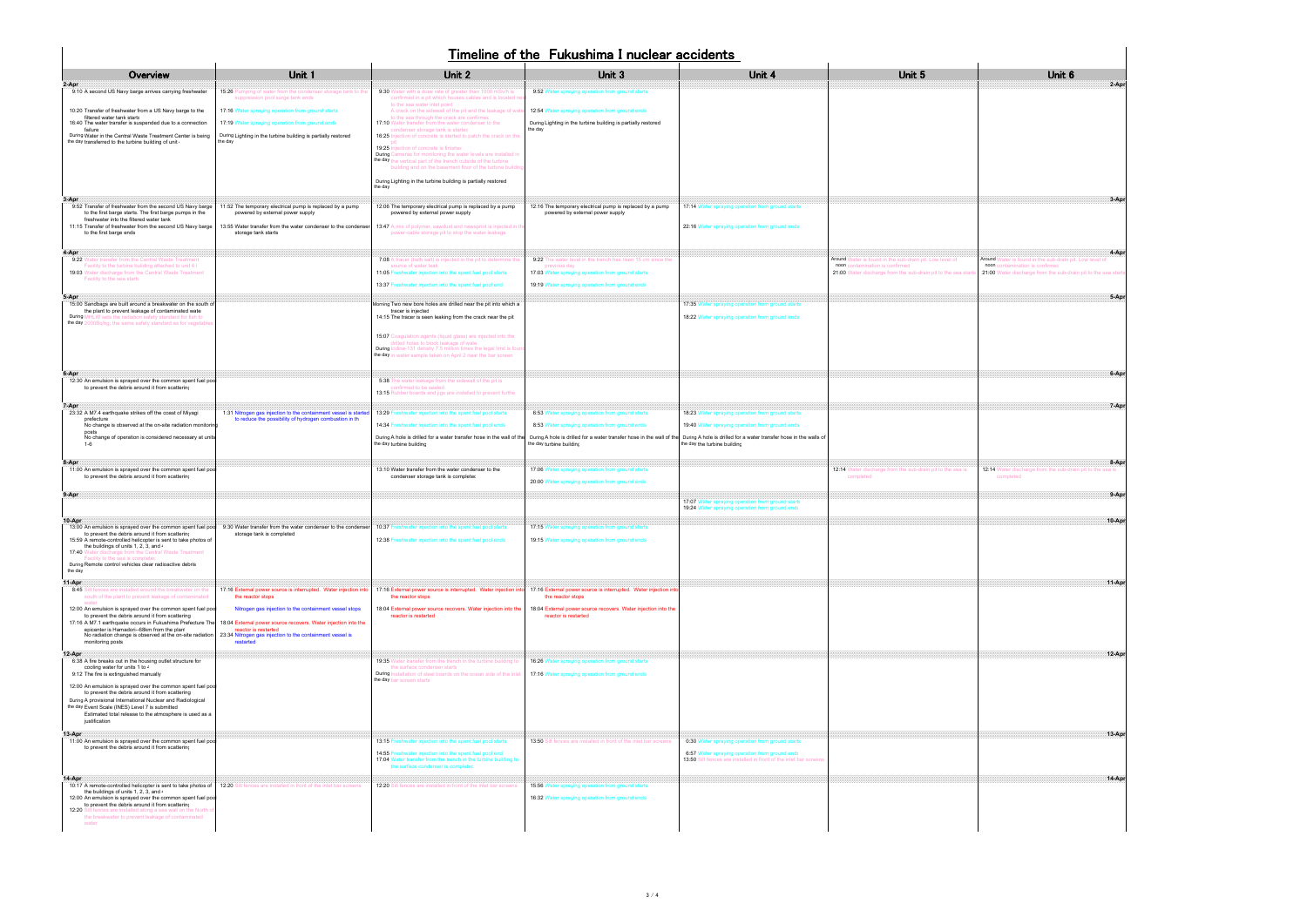## Timeline of the Fukushima I nuclear accidents

| Unit <sub>6</sub>                                                                                                                                                                                                                                                                     |        |
|---------------------------------------------------------------------------------------------------------------------------------------------------------------------------------------------------------------------------------------------------------------------------------------|--------|
| <u>2-Apr</u>                                                                                                                                                                                                                                                                          |        |
|                                                                                                                                                                                                                                                                                       |        |
|                                                                                                                                                                                                                                                                                       |        |
| <u>a a series a series de la construcción de la construcción de la construcción de la construcción de la constru</u>                                                                                                                                                                  |        |
|                                                                                                                                                                                                                                                                                       |        |
| <u>да на повезната на представата на представата на представата на представата на представата на представата на </u><br>Around Water is found in the sub-drain pit. Low level of<br>noon contamination is confirmed<br>21:00 Water discharge from the sub-drain pit to the sea starts |        |
|                                                                                                                                                                                                                                                                                       | 5-Apr  |
|                                                                                                                                                                                                                                                                                       |        |
|                                                                                                                                                                                                                                                                                       |        |
| <u> 1988 - Carl Barbara, poeta e contra esta espa</u>                                                                                                                                                                                                                                 |        |
|                                                                                                                                                                                                                                                                                       | 7-Apr  |
|                                                                                                                                                                                                                                                                                       |        |
| a a bha an chaoine an chaoine an chaoine a bha an chaoine a bha an chaoine a bha an chaoine a bha an chaoine a<br>12:14 Water discharge from the sub-drain pit to the sea is<br>completed                                                                                             |        |
| <u> Mahalim Mahalim Ma</u>                                                                                                                                                                                                                                                            | 9-Apr  |
|                                                                                                                                                                                                                                                                                       | 10-Apr |
|                                                                                                                                                                                                                                                                                       |        |
| <u> 11-Apr</u>                                                                                                                                                                                                                                                                        |        |
|                                                                                                                                                                                                                                                                                       |        |
| <u>state and the contract of the contract of the contract of the contract of the contract of the contract of the contract of the contract of the contract of the contract of the contract of the contract of the contract of the</u>                                                  |        |
|                                                                                                                                                                                                                                                                                       |        |
| <u>13-Apr</u>                                                                                                                                                                                                                                                                         |        |
|                                                                                                                                                                                                                                                                                       |        |
| <u>14-Apr</u>                                                                                                                                                                                                                                                                         |        |

| Timeline of the Fukushima I nuclear accidents                                                                                                                                                                                                                                                                                       |                                                                                                                                                                                                                                                                                                            |                                                                                                                                                                                                                                                      |                                                                                                             |                                                                                                                                                                          |                                                                                                   |                                                                                                   |
|-------------------------------------------------------------------------------------------------------------------------------------------------------------------------------------------------------------------------------------------------------------------------------------------------------------------------------------|------------------------------------------------------------------------------------------------------------------------------------------------------------------------------------------------------------------------------------------------------------------------------------------------------------|------------------------------------------------------------------------------------------------------------------------------------------------------------------------------------------------------------------------------------------------------|-------------------------------------------------------------------------------------------------------------|--------------------------------------------------------------------------------------------------------------------------------------------------------------------------|---------------------------------------------------------------------------------------------------|---------------------------------------------------------------------------------------------------|
| Overview                                                                                                                                                                                                                                                                                                                            | Unit 1                                                                                                                                                                                                                                                                                                     | Unit 2                                                                                                                                                                                                                                               | Unit 3                                                                                                      | Unit 4                                                                                                                                                                   | Unit 5                                                                                            | Unit <sub>6</sub>                                                                                 |
| 2-Apr<br>9:10 A second US Navy barge arrives carrying freshwater                                                                                                                                                                                                                                                                    | 15:26 Pumping of water from the condenser storage tank to the<br>suppression pool surge tank ends                                                                                                                                                                                                          | 9:30 Water with a dose rate of greater than 1000 mSv/h is<br>confirmed in a pit which houses cables and is located ne                                                                                                                                | 9:52 Water spraying operation from ground starts                                                            |                                                                                                                                                                          |                                                                                                   | $2-Api$                                                                                           |
| 10:20 Transfer of freshwater from a US Navy barge to the<br>filtered water tank starts                                                                                                                                                                                                                                              | 17:16 Water spraying operation from ground starts                                                                                                                                                                                                                                                          | to the sea water inlet point<br>A crack on the sidewall of the pit and the leakage of wate<br>to the sea through the crack are confirmed                                                                                                             | 12:54 Water spraying operation from ground ends                                                             |                                                                                                                                                                          |                                                                                                   |                                                                                                   |
| 16:40 The water transfer is suspended due to a connection<br>failure<br>During Water in the Central Waste Treatment Center is being                                                                                                                                                                                                 | 17:19 Water spraying operation from ground ends<br>During Lighting in the turbine building is partially restored                                                                                                                                                                                           | 17:10 Water transfer from the water condenser to the<br>condenser storage tank is started<br>16:25 Injection of concrete is started to patch the crack on the                                                                                        | During Lighting in the turbine building is partially restored<br>the day                                    |                                                                                                                                                                          |                                                                                                   |                                                                                                   |
| the day transferred to the turbine building of unit.                                                                                                                                                                                                                                                                                | the dav                                                                                                                                                                                                                                                                                                    | 19:25 Injection of concrete is finished<br>During Cameras for monitoring the water levels are installed in                                                                                                                                           |                                                                                                             |                                                                                                                                                                          |                                                                                                   |                                                                                                   |
|                                                                                                                                                                                                                                                                                                                                     |                                                                                                                                                                                                                                                                                                            | the day the vertical part of the trench outside of the turbine<br>building and on the basement floor of the turbine building                                                                                                                         |                                                                                                             |                                                                                                                                                                          |                                                                                                   |                                                                                                   |
|                                                                                                                                                                                                                                                                                                                                     |                                                                                                                                                                                                                                                                                                            | During Lighting in the turbine building is partially restored<br>the day                                                                                                                                                                             |                                                                                                             |                                                                                                                                                                          |                                                                                                   |                                                                                                   |
| 3-Apr<br>9:52 Transfer of freshwater from the second US Navy barge<br>to the first barge starts. The first barge pumps in the<br>freshwater into the filtered water tank                                                                                                                                                            | 11:52 The temporary electrical pump is replaced by a pump<br>powered by external power supply                                                                                                                                                                                                              | 12:06 The temporary electrical pump is replaced by a pump<br>powered by external power supply                                                                                                                                                        | 12:16 The temporary electrical pump is replaced by a pump<br>powered by external power supply               | 17:14 Water spraying operation from ground starts                                                                                                                        |                                                                                                   |                                                                                                   |
| 11:15 Transfer of freshwater from the second US Navy barge<br>to the first barge ends                                                                                                                                                                                                                                               | 13:55 Water transfer from the water condenser to the condenser<br>storage tank starts                                                                                                                                                                                                                      | 13:47 A mix of polymer, sawdust and newsprint is injected in tl<br>power-cable storage pit to stop the water leakage                                                                                                                                 |                                                                                                             | 22:16 Water spraying operation from ground ends                                                                                                                          |                                                                                                   |                                                                                                   |
| 4-Apr<br>9:22 Water transfer from the Central Waste Treatment                                                                                                                                                                                                                                                                       |                                                                                                                                                                                                                                                                                                            | 7:08 A tracer (bath salt) is injected in the pit to determine the                                                                                                                                                                                    | 9:22 The water level in the trench has risen 15 cm since the                                                |                                                                                                                                                                          | Around Water is found in the sub-drain pit. Low level of                                          | $4 - Ap$<br>Around Water is found in the sub-drain pit. Low level of                              |
| Facility to the turbine building attached to unit 4 i<br>19:03 Water discharge from the Central Waste Treatment                                                                                                                                                                                                                     |                                                                                                                                                                                                                                                                                                            | source of water leak<br>11:05 Freshwater injection into the spent fuel pool starts                                                                                                                                                                   | previous day<br>17:03 Water spraying operation from ground starts                                           |                                                                                                                                                                          | noon contamination is confirmed<br>21:00 Water discharge from the sub-drain pit to the sea starts | noon contamination is confirmed<br>21:00 Water discharge from the sub-drain pit to the sea starts |
| Facility to the sea starts                                                                                                                                                                                                                                                                                                          |                                                                                                                                                                                                                                                                                                            | 13:37 Freshwater injection into the spent fuel pool end                                                                                                                                                                                              | 19:19 Water spraying operation from ground ends                                                             |                                                                                                                                                                          |                                                                                                   |                                                                                                   |
| 5-Apr<br>15:00 Sandbags are built around a breakwater on the south of<br>the plant to prevent leakage of contaminated wate<br>During MHLW sets the radiation safety standard for fish to                                                                                                                                            |                                                                                                                                                                                                                                                                                                            | Morning Two new bore holes are drilled near the pit into which a<br>tracer is injected<br>14:15 The tracer is seen leaking from the crack near the pit                                                                                               |                                                                                                             | 17:35 Water spraying operation from ground starts<br>18:22 Water spraying operation from ground ends                                                                     |                                                                                                   |                                                                                                   |
| the day 2000Bq/kg, the same safety standard as for vegetable                                                                                                                                                                                                                                                                        |                                                                                                                                                                                                                                                                                                            | 15:07 Coagulation agents (liquid glass) are injected into the<br>drilled holes to block leakage of water<br>During lodine-131 density 7.5 million times the legal limit is four<br>the day in water sample taken on April 2 near the bar screen      |                                                                                                             |                                                                                                                                                                          |                                                                                                   |                                                                                                   |
| 6-Apr<br>12:30 An emulsion is sprayed over the common spent fuel poo<br>to prevent the debris around it from scattering                                                                                                                                                                                                             |                                                                                                                                                                                                                                                                                                            | 5:38 The water leakage from the sidewall of the pit is<br>confirmed to be sealed<br>13:15 Rubber boards and jigs are installed to prevent furthe                                                                                                     |                                                                                                             |                                                                                                                                                                          |                                                                                                   |                                                                                                   |
| 7-Apr<br>23:32 A M7.4 earthquake strikes off the coast of Miyagi                                                                                                                                                                                                                                                                    | 1:31 Nitrogen gas injection to the containment vessel is started                                                                                                                                                                                                                                           | 13:29 Freshwater injection into the spent fuel pool starts                                                                                                                                                                                           | 6:53 Water spraying operation from ground starts                                                            | 18:23 Water spraying operation from ground starts                                                                                                                        |                                                                                                   | $7-Ap$                                                                                            |
| prefecture<br>No change is observed at the on-site radiation monitorin<br>posts                                                                                                                                                                                                                                                     | to reduce the possibility of hydrogen combustion in th                                                                                                                                                                                                                                                     | 14:34 Freshwater injection into the spent fuel pool ends                                                                                                                                                                                             | 8:53 Water spraying operation from ground ends                                                              | 19:40 Water spraying operation from ground ends                                                                                                                          |                                                                                                   |                                                                                                   |
| No change of operation is considered necessary at units<br>$1 - 6$                                                                                                                                                                                                                                                                  |                                                                                                                                                                                                                                                                                                            | During A hole is drilled for a water transfer hose in the wall of the<br>the day turbine building                                                                                                                                                    | the day turbine building                                                                                    | During A hole is drilled for a water transfer hose in the wall of the During A hole is drilled for a water transfer hose in the walls of<br>the day the turbine building |                                                                                                   |                                                                                                   |
| 8-Apr<br>11:00 An emulsion is sprayed over the common spent fuel poo<br>to prevent the debris around it from scattering                                                                                                                                                                                                             |                                                                                                                                                                                                                                                                                                            | 13:10 Water transfer from the water condenser to the<br>condenser storage tank is completed                                                                                                                                                          | 17:06 Water spraying operation from ground starts<br>20:00 Water spraying operation from ground ends        |                                                                                                                                                                          | 12:14 Water discharge from the sub-drain pit to the sea is<br>completed                           | $8 - Ap$<br>12:14 Water discharge from the sub-drain pit to the sea is<br>completed               |
| 9-Apr                                                                                                                                                                                                                                                                                                                               |                                                                                                                                                                                                                                                                                                            |                                                                                                                                                                                                                                                      |                                                                                                             | 17:07 Water spraying operation from ground starts<br>19:24 Water spraying operation from ground ends                                                                     |                                                                                                   | $9-Ap$                                                                                            |
| 10-Apr<br>to prevent the debris around it from scattering<br>15:59 A remote-controlled helicopter is sent to take photos of<br>the buildings of units 1, 2, 3, and $\cdot$<br>17:40 Water discharge from the Central Waste Treatment<br>Facility to the sea is completed<br>During Remote control vehicles clear radioactive debris | 13:00 An emulsion is sprayed over the common spent fuel pool 9:30 Water transfer from the water condenser to the condenser 10:37 Freshwater injection into the spent fuel pool starts<br>storage tank is completed                                                                                         | 12:38<br>eshwater injection into the spent fuel pool ends                                                                                                                                                                                            | 17:15 Water spraying operation from ground starts<br>19:15 Water spraying operation from ground ends        |                                                                                                                                                                          |                                                                                                   | 10-Ap                                                                                             |
| the day<br>11-Apr<br>8:45 Silt fences are installed around the breakwater on the                                                                                                                                                                                                                                                    | 17:16 External power source is interrupted. Water injection into                                                                                                                                                                                                                                           | 17:16 External power source is interrupted. Water injection into                                                                                                                                                                                     | 17:16 External power source is interrupted. Water injection into                                            |                                                                                                                                                                          |                                                                                                   | $11-AD1$                                                                                          |
| south of the plant to prevent leakage of contaminated<br>12:00 An emulsion is sprayed over the common spent fuel pool<br>to prevent the debris around it from scattering<br>epicenter is Hamadori--68km from the plan<br>No radiation change is observed at the on-site radiation<br>monitoring posts                               | the reactor stops<br>Nitrogen gas injection to the containment vessel stops<br>17:16 A M7.1 earthquake occurs in Fukushima Prefecture The 18:04 External power source recovers. Water injection into the<br>reactor is restarted<br>23:34 Nitrogen gas injection to the containment vessel is<br>restarted | the reactor stops<br>18:04 External power source recovers. Water injection into the<br>reactor is restarted                                                                                                                                          | the reactor stops<br>18:04 External power source recovers. Water injection into the<br>reactor is restarted |                                                                                                                                                                          |                                                                                                   |                                                                                                   |
| 12-Apr<br>6:38 A fire breaks out in the housing outlet structure for<br>cooling water for units 1 to 4<br>9:12 The fire is extinguished manually                                                                                                                                                                                    |                                                                                                                                                                                                                                                                                                            | 19:35 Water transfer from the trench in the turbine building to<br>the surface condenser starts<br>During Installation of steel boards on the ocean side of the inlet   17:16 Water spraying operation from ground ends<br>the day bar screen starts | 16:26 Water spraying operation from ground starts                                                           |                                                                                                                                                                          |                                                                                                   | 12-Ap                                                                                             |
| 12:00 An emulsion is sprayed over the common spent fuel poo<br>to prevent the debris around it from scattering<br>During A provisional International Nuclear and Radiological<br>the day Event Scale (INES) Level 7 is submitted<br>Estimated total release to the atmosphere is used as a<br>justification                         |                                                                                                                                                                                                                                                                                                            |                                                                                                                                                                                                                                                      |                                                                                                             |                                                                                                                                                                          |                                                                                                   |                                                                                                   |
| 13-Apr<br>11:00 An emulsion is sprayed over the common spent fuel poo                                                                                                                                                                                                                                                               |                                                                                                                                                                                                                                                                                                            | 13:15 Freshwater injection into the spent fuel pool starts                                                                                                                                                                                           | 13:50 Silt fences are installed in front of the inlet bar screens                                           | 0:30 Water spraying operation from ground starts                                                                                                                         |                                                                                                   | $13 - Ap$                                                                                         |
| to prevent the debris around it from scattering                                                                                                                                                                                                                                                                                     |                                                                                                                                                                                                                                                                                                            | 14:55 Freshwater injection into the spent fuel pool end<br>17:04 Water transfer from the trench in the turbine building to<br>the surface condenser is completed                                                                                     |                                                                                                             | 6:57 Water spraying operation from ground ends<br>13:50 Silt fences are installed in front of the inlet bar screens                                                      |                                                                                                   |                                                                                                   |
| 14-Apr<br>10:17 A remote-controlled helicopter is sent to take photos of<br>the buildings of units 1, 2, 3, and $\cdot$<br>12:00 An emulsion is sprayed over the common spent fuel poo<br>to prevent the debris around it from scattering<br>12:20 Silt fences are installed along a sea wall on the North                          | 12:20 Silt fences are installed in front of the inlet bar screens                                                                                                                                                                                                                                          | 12:20 Silt fences are installed in front of the inlet bar screens                                                                                                                                                                                    | 15:56 Water spraying operation from ground starts<br>16:32 Water spraying operation from ground ends        |                                                                                                                                                                          |                                                                                                   |                                                                                                   |
| the breakwater to prevent leakage of contaminated<br>water                                                                                                                                                                                                                                                                          |                                                                                                                                                                                                                                                                                                            |                                                                                                                                                                                                                                                      |                                                                                                             |                                                                                                                                                                          |                                                                                                   |                                                                                                   |